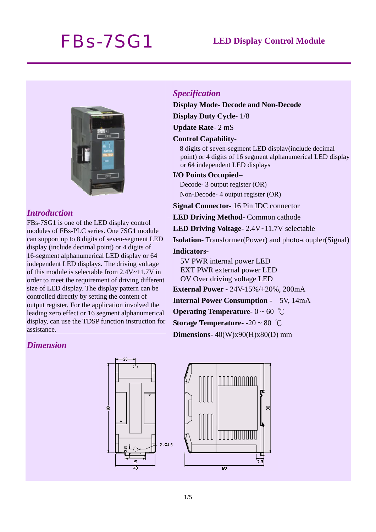# *FBs-7SG1* **LED Display Control Module**



### *Introduction*

FBs-7SG1 is one of the LED display control modules of FBs-PLC series. One 7SG1 module can support up to 8 digits of seven-segment LED display (include decimal point) or 4 digits of 16-segment alphanumerical LED display or 64 independent LED displays. The driving voltage of this module is selectable from 2.4V~11.7V in order to meet the requirement of driving different size of LED display. The display pattern can be controlled directly by setting the content of output register. For the application involved the leading zero effect or 16 segment alphanumerical display, can use the TDSP function instruction for assistance.

### *Dimension*

#### *Specification*

**Display Mode- Decode and Non-Decode**

**Display Duty Cycle**- 1/8

**Update Rate**- 2 mS

#### **Control Capability**-

8 digits of seven-segment LED display(include decimal point) or 4 digits of 16 segment alphanumerical LED display or 64 independent LED displays

#### **I/O Points Occupied–**

Decode- 3 output register (OR) Non-Decode- 4 output register (OR)

**Signal Connector-** 16 Pin IDC connector

**LED Driving Method**- Common cathode

**LED Driving Voltage-** 2.4V~11.7V selectable

**Isolation**- Transformer(Power) and photo-coupler(Signal)

#### **Indicators-**

5V PWR internal power LED EXT PWR external power LED OV Over driving voltage LED

**External Power -** 24V-15%/+20%, 200mA

**Internal Power Consumption -** 5V, 14mA

**Operating Temperature-** 0 ~ 60 ℃

**Storage Temperature-** -20 ~ 80 ℃

**Dimensions**- 40(W)x90(H)x80(D) mm

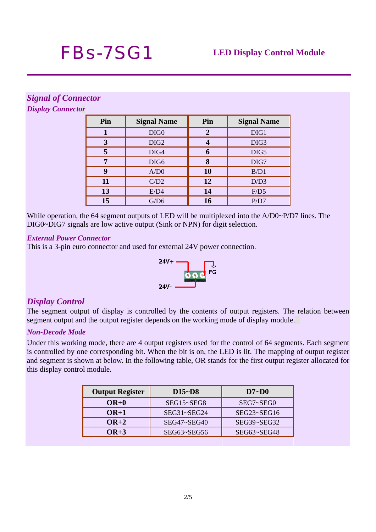# *Signal of Connector*

*Display Connector*

| Pin | <b>Signal Name</b> | Pin            | <b>Signal Name</b> |  |  |
|-----|--------------------|----------------|--------------------|--|--|
|     | DIG <sub>0</sub>   | $\overline{2}$ | DIG1               |  |  |
| 3   | DIG <sub>2</sub>   |                | DIG <sub>3</sub>   |  |  |
| 5   | DIG4               | 6              | DIG5               |  |  |
| 7   | DIG <sub>6</sub>   | 8              | DIG7               |  |  |
| 9   | A/D0               | 10             | B/D1               |  |  |
| 11  | C/D2               | 12             | D/D3               |  |  |
| 13  | E/D4               | 14             | F/D5               |  |  |
| 15  | G/D6               | 16             | P/D7               |  |  |

While operation, the 64 segment outputs of LED will be multiplexed into the A/D0~P/D7 lines. The DIG0~DIG7 signals are low active output (Sink or NPN) for digit selection.

#### *External Power Connector*

This is a 3-pin euro connector and used for external 24V power connection.



# *Display Control*

The segment output of display is controlled by the contents of output registers. The relation between segment output and the output register depends on the working mode of display module.

### *Non-Decode Mode*

Under this working mode, there are 4 output registers used for the control of 64 segments. Each segment is controlled by one corresponding bit. When the bit is on, the LED is lit. The mapping of output register and segment is shown at below. In the following table, OR stands for the first output register allocated for this display control module.

| <b>Output Register</b> | $D15-D8$    | $D7-D0$       |  |  |  |
|------------------------|-------------|---------------|--|--|--|
| $OR+0$                 | SEG15~SEG8  | SEG7~SEG0     |  |  |  |
| $OR+1$                 | SEG31~SEG24 | $SEG23-SEG16$ |  |  |  |
| $OR+2$                 | SEG47~SEG40 | SEG39~SEG32   |  |  |  |
| $OR+3$                 | SEG63~SEG56 | SEG63~SEG48   |  |  |  |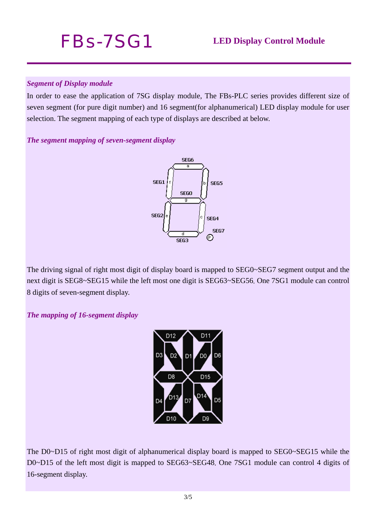# *Segment of Display module*

In order to ease the application of 7SG display module, The FBs-PLC series provides different size of seven segment (for pure digit number) and 16 segment(for alphanumerical) LED display module for user selection. The segment mapping of each type of displays are described at below.

# *The segment mapping of seven-segment display*



The driving signal of right most digit of display board is mapped to SEG0~SEG7 segment output and the next digit is SEG8~SEG15 while the left most one digit is SEG63~SEG56. One 7SG1 module can control 8 digits of seven-segment display.

*The mapping of 16-segment display* 



The D0~D15 of right most digit of alphanumerical display board is mapped to SEG0~SEG15 while the D0~D15 of the left most digit is mapped to SEG63~SEG48. One 7SG1 module can control 4 digits of 16-segment display.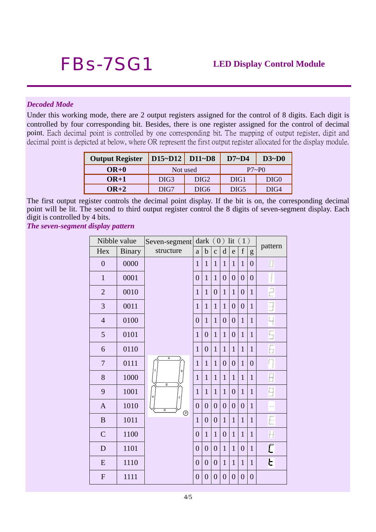#### *Decoded Mode*

Under this working mode, there are 2 output registers assigned for the control of 8 digits. Each digit is controlled by four corresponding bit. Besides, there is one register assigned for the control of decimal point. Each decimal point is controlled by one corresponding bit. The mapping of output register, digit and decimal point is depicted at below, where OR represent the first output register allocated for the display module.

| <b>Output Register</b> | D15~D12   D11~D8 |                  | $D7-D4$          | $D3-D0$          |  |  |  |
|------------------------|------------------|------------------|------------------|------------------|--|--|--|
| $OR+0$                 | Not used         |                  | P7~P             |                  |  |  |  |
| $OR+1$                 | DIG <sub>3</sub> | DIG <sub>2</sub> | DIG1             | DIG <sub>0</sub> |  |  |  |
| $\mathbf{OR} + 2$      | DIG7             | DIG6             | DIG <sub>5</sub> | DIG4             |  |  |  |

The first output register controls the decimal point display. If the bit is on, the corresponding decimal point will be lit. The second to third output register control the 8 digits of seven-segment display. Each digit is controlled by 4 bits.

*The seven-segment display pattern* 

| Nibble value   |               | Seven-segment                |                | dark $(0)$ lit $(1)$ |                  |                |                  |                | pattern        |                                       |
|----------------|---------------|------------------------------|----------------|----------------------|------------------|----------------|------------------|----------------|----------------|---------------------------------------|
| Hex            | <b>Binary</b> | structure                    | $\mathbf{a}$   | $\mathbf b$          | $\mathbf{c}$     | $\mathbf d$    | e                | $\mathbf f$    | g              |                                       |
| $\overline{0}$ | 0000          |                              | $\mathbf{1}$   | $\mathbf{1}$         | $\mathbf{1}$     | $\mathbf{1}$   | $\mathbf{1}$     | $\mathbf{1}$   | $\overline{0}$ | 0                                     |
| $\mathbf{1}$   | 0001          |                              | $\overline{0}$ | $\mathbf{1}$         | $\mathbf{1}$     | $\overline{0}$ | $\overline{0}$   | $\overline{0}$ | $\overline{0}$ | $\sqrt{\phantom{a}}$                  |
| $\overline{2}$ | 0010          |                              | $\mathbf{1}$   | $\mathbf{1}$         | $\overline{0}$   | $\mathbf{1}$   | $\mathbf{1}$     | $\overline{0}$ | $\mathbf{1}$   | $\overline{\mathbb{C}}$               |
| 3              | 0011          |                              | $\mathbf{1}$   | $\mathbf{1}$         | $\mathbf{1}$     | $\mathbf{1}$   | $\boldsymbol{0}$ | $\overline{0}$ | $\mathbf{1}$   | $\begin{array}{c} \hline \end{array}$ |
| $\overline{4}$ | 0100          |                              | $\overline{0}$ | $\mathbf{1}$         | $\mathbf{1}$     | $\overline{0}$ | $\overline{0}$   | $\mathbf{1}$   | $\mathbf{1}$   | $\overline{\mathcal{L}}$              |
| $\mathfrak{S}$ | 0101          |                              | $\mathbf{1}$   | $\overline{0}$       | $\mathbf{1}$     | $\mathbf{1}$   | $\overline{0}$   | $\mathbf{1}$   | $\mathbf{1}$   | $\overline{\mathbb{S}}$               |
| 6              | 0110          |                              | $\mathbf{1}$   | $\boldsymbol{0}$     | $\mathbf{1}$     | $\mathbf{1}$   | $\mathbf{1}$     | $\mathbf{1}$   | $\mathbf{1}$   | 6                                     |
| $\tau$         | 0111          | a                            | $\mathbf{1}$   | $\mathbf{1}$         | $\mathbf{1}$     | $\overline{0}$ | $\boldsymbol{0}$ | $\mathbf{1}$   | $\overline{0}$ | $\Box$                                |
| $8\,$          | 1000          | b,<br>g                      | $\mathbf{1}$   | $\mathbf{1}$         | $\mathbf{1}$     | $\mathbf{1}$   | $\mathbf{1}$     | $\mathbf{1}$   | $\mathbf{1}$   | 8                                     |
| 9              | 1001          | $\mathsf{e}$<br>$\mathbf{c}$ | $\mathbf{1}$   | $\mathbf{1}$         | $\mathbf{1}$     | $\mathbf{1}$   | $\overline{0}$   | $\mathbf{1}$   | $\mathbf{1}$   | $\overline{9}$                        |
| $\mathbf{A}$   | 1010          | d<br>$^{\circ}$              | $\overline{0}$ | $\overline{0}$       | $\overline{0}$   | $\overline{0}$ | $\mathbf{0}$     | $\overline{0}$ | $\mathbf{1}$   | $\qquad \qquad \blacksquare$          |
| $\, {\bf B}$   | 1011          |                              | $\mathbf{1}$   | $\overline{0}$       | $\overline{0}$   | $\mathbf{1}$   | $\mathbf{1}$     | $\mathbf{1}$   | $\mathbf{1}$   | E                                     |
| $\mathsf{C}$   | 1100          |                              | $\overline{0}$ | $\mathbf{1}$         | $\mathbf{1}$     | $\overline{0}$ | $\mathbf{1}$     | $\mathbf{1}$   | $\mathbf{1}$   | H                                     |
| D              | 1101          |                              | $\overline{0}$ | $\overline{0}$       | $\overline{0}$   | $\mathbf{1}$   | $\mathbf{1}$     | $\overline{0}$ | $\mathbf{1}$   | Ē                                     |
| ${\bf E}$      | 1110          |                              | $\overline{0}$ | $\boldsymbol{0}$     | $\boldsymbol{0}$ | $\mathbf{1}$   | $\mathbf{1}$     | $\mathbf{1}$   | $\mathbf{1}$   | E                                     |
| $\mathbf{F}$   | 1111          |                              | $\overline{0}$ | $\boldsymbol{0}$     | $\boldsymbol{0}$ | $\overline{0}$ | $\overline{0}$   | $\overline{0}$ | $\overline{0}$ |                                       |